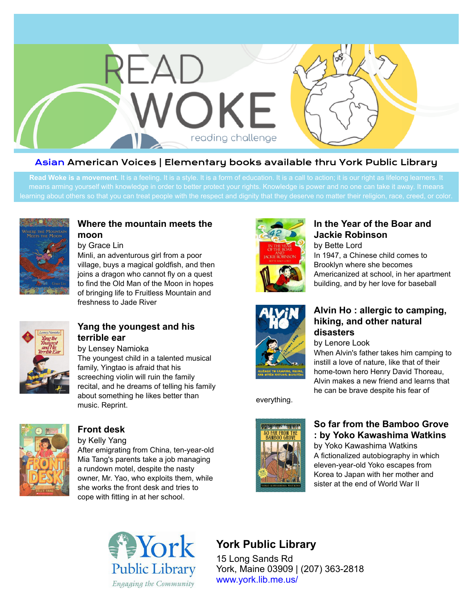

#### Asian American Voices | Elementary books available thru York Public Library

Read Woke is a movement. It is a feeling. It is a style. It is a form of education. It is a call to action; it is our right as lifelong learners. It



#### **[Where the mountain meets the](https://libraryaware.com/23TD67) [moon](https://libraryaware.com/23TD67)**

by Grace Lin

Minli, an adventurous girl from a poor village, buys a magical goldfish, and then joins a dragon who cannot fly on a quest to find the Old Man of the Moon in hopes of bringing life to Fruitless Mountain and freshness to Jade River



#### **[Yang the youngest and his](https://libraryaware.com/23TD68) [terrible ear](https://libraryaware.com/23TD68)**

by Lensey Namioka The youngest child in a talented musical family, Yingtao is afraid that his screeching violin will ruin the family recital, and he dreams of telling his family about something he likes better than music. Reprint.



### **[Front desk](https://libraryaware.com/23TD69)**

by Kelly Yang

After emigrating from China, ten-year-old Mia Tang's parents take a job managing a rundown motel, despite the nasty owner, Mr. Yao, who exploits them, while she works the front desk and tries to cope with fitting in at her school.



#### **[In the Year of the Boar and](https://libraryaware.com/23TD6A) [Jackie Robinson](https://libraryaware.com/23TD6A)**

by Bette Lord In 1947, a Chinese child comes to Brooklyn where she becomes Americanized at school, in her apartment building, and by her love for baseball



#### **[Alvin Ho : allergic to camping,](https://libraryaware.com/23TD6B) [hiking, and other natural](https://libraryaware.com/23TD6B) [disasters](https://libraryaware.com/23TD6B)**

by Lenore Look

When Alvin's father takes him camping to instill a love of nature, like that of their home-town hero Henry David Thoreau, Alvin makes a new friend and learns that he can be brave despite his fear of

everything.



## **[So far from the Bamboo Grove](https://libraryaware.com/23TD6C) [: by Yoko Kawashima Watkins](https://libraryaware.com/23TD6C)**

by Yoko Kawashima Watkins A fictionalized autobiography in which eleven-year-old Yoko escapes from Korea to Japan with her mother and sister at the end of World War II



# **York Public Library**

15 Long Sands Rd York, Maine 03909 | (207) 363-2818 [www.york.lib.me.us/](https://libraryaware.com/23TD6D)